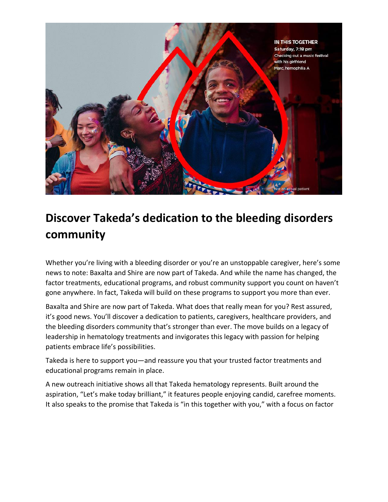

## **Discover Takeda's dedication to the bleeding disorders community**

Whether you're living with a bleeding disorder or you're an unstoppable caregiver, here's some news to note: Baxalta and Shire are now part of Takeda. And while the name has changed, the factor treatments, educational programs, and robust community support you count on haven't gone anywhere. In fact, Takeda will build on these programs to support you more than ever.

Baxalta and Shire are now part of Takeda. What does that really mean for you? Rest assured, it's good news. You'll discover a dedication to patients, caregivers, healthcare providers, and the bleeding disorders community that's stronger than ever. The move builds on a legacy of leadership in hematology treatments and invigorates this legacy with passion for helping patients embrace life's possibilities.

Takeda is here to support you—and reassure you that your trusted factor treatments and educational programs remain in place.

A new outreach initiative shows all that Takeda hematology represents. Built around the aspiration, "Let's make today brilliant," it features people enjoying candid, carefree moments. It also speaks to the promise that Takeda is "in this together with you," with a focus on factor